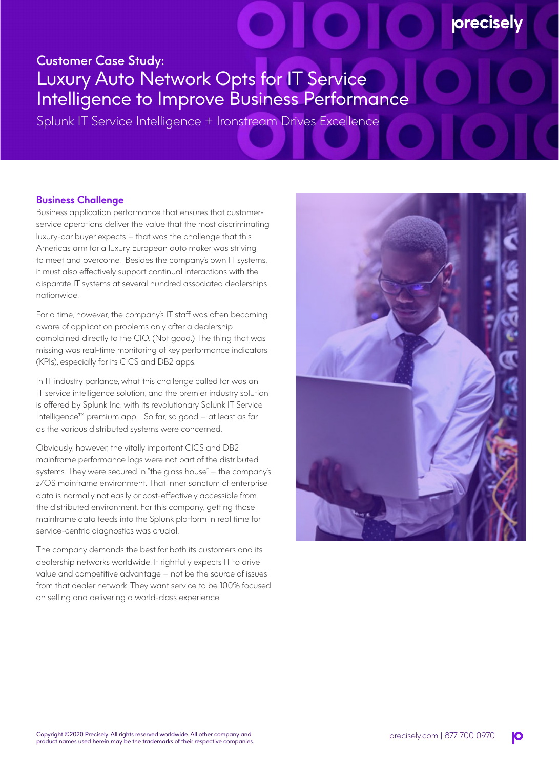## Customer Case Study: Luxury Auto Network Opts for IT Service Intelligence to Improve Business Performance

Splunk IT Service Intelligence + Ironstream Drives Excellence

## **Business Challenge**

Business application performance that ensures that customerservice operations deliver the value that the most discriminating luxury-car buyer expects – that was the challenge that this Americas arm for a luxury European auto maker was striving to meet and overcome. Besides the company's own IT systems, it must also effectively support continual interactions with the disparate IT systems at several hundred associated dealerships nationwide.

For a time, however, the company's IT staff was often becoming aware of application problems only after a dealership complained directly to the CIO. (Not good.) The thing that was missing was real-time monitoring of key performance indicators (KPIs), especially for its CICS and DB2 apps.

In IT industry parlance, what this challenge called for was an IT service intelligence solution, and the premier industry solution is offered by Splunk Inc. with its revolutionary Splunk IT Service Intelligence™ premium app. So far, so good – at least as far as the various distributed systems were concerned.

Obviously, however, the vitally important CICS and DB2 mainframe performance logs were not part of the distributed systems. They were secured in "the glass house" – the company's z/OS mainframe environment. That inner sanctum of enterprise data is normally not easily or cost-effectively accessible from the distributed environment. For this company, getting those mainframe data feeds into the Splunk platform in real time for service-centric diagnostics was crucial.

The company demands the best for both its customers and its dealership networks worldwide. It rightfully expects IT to drive value and competitive advantage – not be the source of issues from that dealer network. They want service to be 100% focused on selling and delivering a world-class experience.



**precisely**